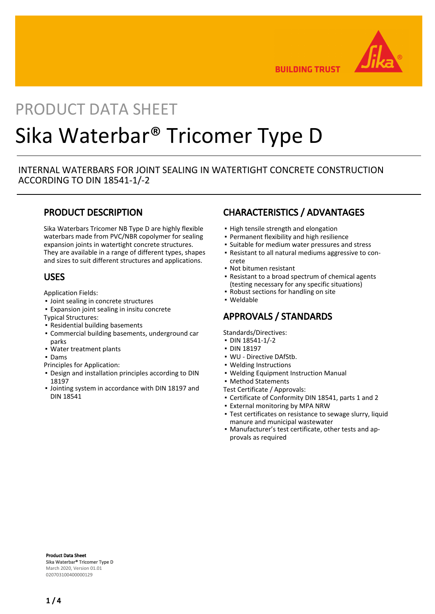

**BUILDING TRUST** 

# PRODUCT DATA SHEET Sika Waterbar® Tricomer Type D

# INTERNAL WATERBARS FOR JOINT SEALING IN WATERTIGHT CONCRETE CONSTRUCTION ACCORDING TO DIN 18541-1/-2

# PRODUCT DESCRIPTION

Sika Waterbars Tricomer NB Type D are highly flexible waterbars made from PVC/NBR copolymer for sealing expansion joints in watertight concrete structures. They are available in a range of different types, shapes and sizes to suit different structures and applications.

# USES

Application Fields:

- Joint sealing in concrete structures
- Expansion joint sealing in insitu concrete
- Typical Structures:
- Residential building basements
- Commercial building basements, underground car parks
- Water treatment plants
- Dams
- Principles for Application:
- **Design and installation principles according to DIN** 18197
- **.** Jointing system in accordance with DIN 18197 and DIN 18541

# CHARACTERISTICS / ADVANTAGES

- **.** High tensile strength and elongation
- Permanent flexibility and high resilience
- Suitable for medium water pressures and stress
- Resistant to all natural mediums aggressive to con-▪ crete
- Not bitumen resistant
- Resistant to a broad spectrum of chemical agents (testing necessary for any specific situations)
- Robust sections for handling on site
- Weldable

# APPROVALS / STANDARDS

Standards/Directives:

- DIN 18541-1/-2
- DIN 18197
- WU Directive DAfStb.
- Welding Instructions
- Welding Equipment Instruction Manual

▪ Method Statements

Test Certificate / Approvals:

- Certificate of Conformity DIN 18541, parts 1 and 2
- **.** External monitoring by MPA NRW
- Test certificates on resistance to sewage slurry, liquid manure and municipal wastewater
- Manufacturer's test certificate, other tests and ap-▪ provals as required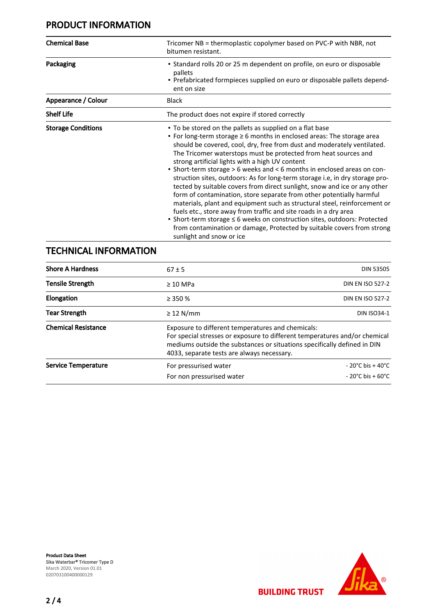# PRODUCT INFORMATION

| <b>Chemical Base</b>      | Tricomer NB = thermoplastic copolymer based on PVC-P with NBR, not<br>bitumen resistant.                                                                                                                                                                                                                                                                                                                                                                                                                                                                                                                                                                                                                                                                                                                                                                                                                                                                                                     |  |  |
|---------------------------|----------------------------------------------------------------------------------------------------------------------------------------------------------------------------------------------------------------------------------------------------------------------------------------------------------------------------------------------------------------------------------------------------------------------------------------------------------------------------------------------------------------------------------------------------------------------------------------------------------------------------------------------------------------------------------------------------------------------------------------------------------------------------------------------------------------------------------------------------------------------------------------------------------------------------------------------------------------------------------------------|--|--|
| Packaging                 | • Standard rolls 20 or 25 m dependent on profile, on euro or disposable<br>pallets<br>- Prefabricated formpieces supplied on euro or disposable pallets depend-<br>ent on size                                                                                                                                                                                                                                                                                                                                                                                                                                                                                                                                                                                                                                                                                                                                                                                                               |  |  |
| Appearance / Colour       | <b>Black</b>                                                                                                                                                                                                                                                                                                                                                                                                                                                                                                                                                                                                                                                                                                                                                                                                                                                                                                                                                                                 |  |  |
| <b>Shelf Life</b>         | The product does not expire if stored correctly                                                                                                                                                                                                                                                                                                                                                                                                                                                                                                                                                                                                                                                                                                                                                                                                                                                                                                                                              |  |  |
| <b>Storage Conditions</b> | • To be stored on the pallets as supplied on a flat base<br>• For long-term storage $\geq 6$ months in enclosed areas: The storage area<br>should be covered, cool, dry, free from dust and moderately ventilated.<br>The Tricomer waterstops must be protected from heat sources and<br>strong artificial lights with a high UV content<br>• Short-term storage > 6 weeks and < 6 months in enclosed areas on con-<br>struction sites, outdoors: As for long-term storage i.e, in dry storage pro-<br>tected by suitable covers from direct sunlight, snow and ice or any other<br>form of contamination, store separate from other potentially harmful<br>materials, plant and equipment such as structural steel, reinforcement or<br>fuels etc., store away from traffic and site roads in a dry area<br>■ Short-term storage ≤ 6 weeks on construction sites, outdoors: Protected<br>from contamination or damage, Protected by suitable covers from strong<br>sunlight and snow or ice |  |  |

# TECHNICAL INFORMATION

| <b>Shore A Hardness</b>    | $67 \pm 5$                | <b>DIN 53505</b>                                                                                                                                                                                                                                          |  |  |
|----------------------------|---------------------------|-----------------------------------------------------------------------------------------------------------------------------------------------------------------------------------------------------------------------------------------------------------|--|--|
| <b>Tensile Strength</b>    | $\geq 10$ MPa             | <b>DIN EN ISO 527-2</b>                                                                                                                                                                                                                                   |  |  |
| Elongation                 | $\geq$ 350 %              | <b>DIN EN ISO 527-2</b>                                                                                                                                                                                                                                   |  |  |
| <b>Tear Strength</b>       | $\geq$ 12 N/mm            | <b>DIN ISO34-1</b>                                                                                                                                                                                                                                        |  |  |
| <b>Chemical Resistance</b> |                           | Exposure to different temperatures and chemicals:<br>For special stresses or exposure to different temperatures and/or chemical<br>mediums outside the substances or situations specifically defined in DIN<br>4033, separate tests are always necessary. |  |  |
| <b>Service Temperature</b> | For pressurised water     | $-20^{\circ}$ C bis + 40 $^{\circ}$ C                                                                                                                                                                                                                     |  |  |
|                            | For non pressurised water | $-20^{\circ}$ C bis + 60 $^{\circ}$ C                                                                                                                                                                                                                     |  |  |



**BUILDING TRUST**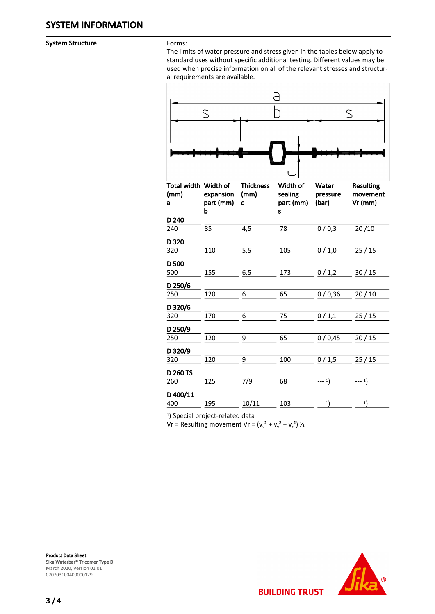System Structure Forms:

The limits of water pressure and stress given in the tables below apply to standard uses without specific additional testing. Different values may be used when precise information on all of the relevant stresses and structural requirements are available.

|                                             | ς                           |                                                            |                                       |                            | S                                         |  |  |
|---------------------------------------------|-----------------------------|------------------------------------------------------------|---------------------------------------|----------------------------|-------------------------------------------|--|--|
|                                             |                             |                                                            |                                       |                            |                                           |  |  |
|                                             |                             |                                                            |                                       |                            |                                           |  |  |
| Total width Width of<br>(mm)<br>a           | expansion<br>part (mm)<br>b | <b>Thickness</b><br>(mm)<br>C                              | Width of<br>sealing<br>part (mm)<br>S | Water<br>pressure<br>(bar) | <b>Resulting</b><br>movement<br>$Vr$ (mm) |  |  |
| D 240                                       |                             |                                                            |                                       |                            |                                           |  |  |
| 240                                         | 85                          | 4,5                                                        | 78                                    | 0/0,3                      | 20/10                                     |  |  |
| D 320                                       |                             |                                                            |                                       |                            |                                           |  |  |
| 320                                         | 110                         | 5,5                                                        | 105                                   | 0/1,0                      | 25/15                                     |  |  |
| D <sub>500</sub>                            |                             |                                                            |                                       |                            |                                           |  |  |
| 500                                         | 155                         | 6,5                                                        | 173                                   | 0/1,2                      | 30/15                                     |  |  |
| D 250/6                                     |                             |                                                            |                                       |                            |                                           |  |  |
| 250                                         | 120                         | 6                                                          | 65                                    | 0/0,36                     | 20/10                                     |  |  |
| D 320/6                                     |                             |                                                            |                                       |                            |                                           |  |  |
| 320                                         | 170                         | 6                                                          | 75                                    | 0/1,1                      | 25/15                                     |  |  |
| D 250/9                                     |                             |                                                            |                                       |                            |                                           |  |  |
| 250                                         | 120                         | 9                                                          | 65                                    | 0/0,45                     | 20/15                                     |  |  |
| D 320/9                                     |                             |                                                            |                                       |                            |                                           |  |  |
| 320                                         | 120                         | 9                                                          | 100                                   | 0/1,5                      | 25/15                                     |  |  |
|                                             |                             |                                                            |                                       |                            |                                           |  |  |
| D 260 TS<br>260                             | 125                         | 7/9                                                        | 68                                    | $--- 1)$                   | $--- 1)$                                  |  |  |
|                                             |                             |                                                            |                                       |                            |                                           |  |  |
| D 400/11                                    |                             |                                                            |                                       |                            |                                           |  |  |
| 400                                         | 195                         | 10/11                                                      | 103                                   | $--- 1)$                   | $--- 1)$                                  |  |  |
| <sup>1</sup> ) Special project-related data |                             | Vr = Resulting movement Vr = $(v_x^2 + v_y^2 + v_z^2)$ 1/2 |                                       |                            |                                           |  |  |

Product Data Sheet Sika Waterbar® Tricomer Type D March 2020, Version 01.01 020703100400000129



**BUILDING TRUST** 

3 / 4